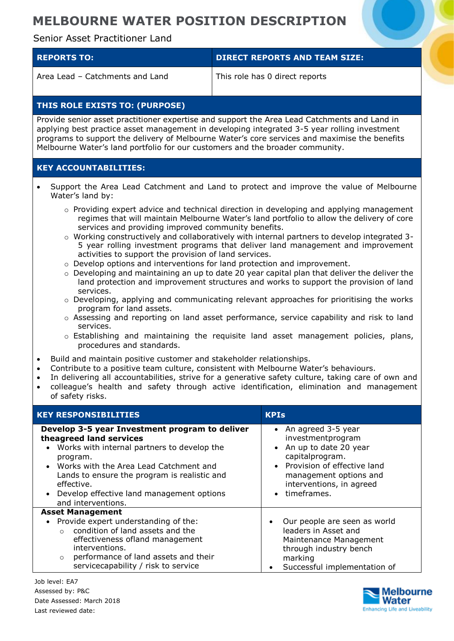# **MELBOURNE WATER POSITION DESCRIPTION**

## Senior Asset Practitioner Land

| <b>REPORTS TO:</b>              | <b>DIRECT REPORTS AND TEAM SIZE:</b> |
|---------------------------------|--------------------------------------|
| Area Lead – Catchments and Land | This role has 0 direct reports       |

## **THIS ROLE EXISTS TO: (PURPOSE)**

Provide senior asset practitioner expertise and support the Area Lead Catchments and Land in applying best practice asset management in developing integrated 3-5 year rolling investment programs to support the delivery of Melbourne Water's core services and maximise the benefits Melbourne Water's land portfolio for our customers and the broader community.

### **KEY ACCOUNTABILITIES:**

- Support the Area Lead Catchment and Land to protect and improve the value of Melbourne Water's land by:
	- $\circ$  Providing expert advice and technical direction in developing and applying management regimes that will maintain Melbourne Water's land portfolio to allow the delivery of core services and providing improved community benefits.
	- o Working constructively and collaboratively with internal partners to develop integrated 3- 5 year rolling investment programs that deliver land management and improvement activities to support the provision of land services.
	- $\circ$  Develop options and interventions for land protection and improvement.
	- $\circ$  Developing and maintaining an up to date 20 year capital plan that deliver the deliver the land protection and improvement structures and works to support the provision of land services.
	- $\circ$  Developing, applying and communicating relevant approaches for prioritising the works program for land assets.
	- o Assessing and reporting on land asset performance, service capability and risk to land services.
	- $\circ$  Establishing and maintaining the requisite land asset management policies, plans, procedures and standards.
- Build and maintain positive customer and stakeholder relationships.
- Contribute to a positive team culture, consistent with Melbourne Water's behaviours.
- In delivering all accountabilities, strive for a generative safety culture, taking care of own and
- colleague's health and safety through active identification, elimination and management of safety risks.

| <b>KEY RESPONSIBILITIES</b>                                                                                                                                                                                                                                                                                           | <b>KPIs</b>                                                                                                                                                                                                                                 |
|-----------------------------------------------------------------------------------------------------------------------------------------------------------------------------------------------------------------------------------------------------------------------------------------------------------------------|---------------------------------------------------------------------------------------------------------------------------------------------------------------------------------------------------------------------------------------------|
| Develop 3-5 year Investment program to deliver<br>theagreed land services<br>• Works with internal partners to develop the<br>program.<br>• Works with the Area Lead Catchment and<br>Lands to ensure the program is realistic and<br>effective.<br>• Develop effective land management options<br>and interventions. | An agreed 3-5 year<br>$\bullet$<br>investmentprogram<br>An up to date 20 year<br>$\bullet$<br>capitalprogram.<br>Provision of effective land<br>$\bullet$<br>management options and<br>interventions, in agreed<br>timeframes.<br>$\bullet$ |
| <b>Asset Management</b><br>• Provide expert understanding of the:<br>condition of land assets and the<br>$\cap$<br>effectiveness ofland management<br>interventions.<br>performance of land assets and their<br>$\circ$<br>servicecapability / risk to service                                                        | Our people are seen as world<br>$\bullet$<br>leaders in Asset and<br>Maintenance Management<br>through industry bench<br>marking<br>Successful implementation of<br>$\bullet$                                                               |

Job level: EA7 Assessed by: P&C Date Assessed: March 2018 Last reviewed date:

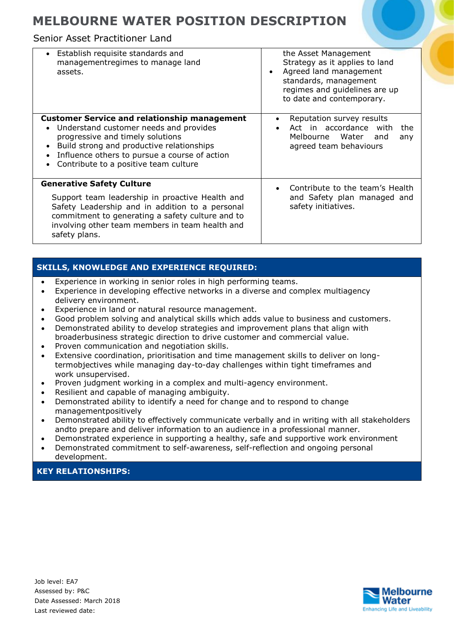## **MELBOURNE WATER POSITION DESCRIPTION**

### Senior Asset Practitioner Land

| • Establish requisite standards and<br>managementregimes to manage land<br>assets.                                                                                                                                                                                                    | the Asset Management<br>Strategy as it applies to land<br>Agreed land management<br>$\bullet$<br>standards, management<br>regimes and guidelines are up<br>to date and contemporary. |
|---------------------------------------------------------------------------------------------------------------------------------------------------------------------------------------------------------------------------------------------------------------------------------------|--------------------------------------------------------------------------------------------------------------------------------------------------------------------------------------|
| <b>Customer Service and relationship management</b><br>Understand customer needs and provides<br>$\bullet$<br>progressive and timely solutions<br>Build strong and productive relationships<br>Influence others to pursue a course of action<br>Contribute to a positive team culture | Reputation survey results<br>Act in accordance with<br>the<br>Melbourne Water<br>and<br>any<br>agreed team behaviours                                                                |
| <b>Generative Safety Culture</b><br>Support team leadership in proactive Health and<br>Safety Leadership and in addition to a personal<br>commitment to generating a safety culture and to<br>involving other team members in team health and<br>safety plans.                        | Contribute to the team's Health<br>and Safety plan managed and<br>safety initiatives.                                                                                                |

## **SKILLS, KNOWLEDGE AND EXPERIENCE REQUIRED:**

- Experience in working in senior roles in high performing teams.
- Experience in developing effective networks in a diverse and complex multiagency delivery environment.
- Experience in land or natural resource management.
- Good problem solving and analytical skills which adds value to business and customers.
- Demonstrated ability to develop strategies and improvement plans that align with broaderbusiness strategic direction to drive customer and commercial value.
- Proven communication and negotiation skills.
- Extensive coordination, prioritisation and time management skills to deliver on longtermobjectives while managing day-to-day challenges within tight timeframes and work unsupervised.
- Proven judgment working in a complex and multi-agency environment.
- Resilient and capable of managing ambiguity.
- Demonstrated ability to identify a need for change and to respond to change managementpositively
- Demonstrated ability to effectively communicate verbally and in writing with all stakeholders andto prepare and deliver information to an audience in a professional manner.
- Demonstrated experience in supporting a healthy, safe and supportive work environment
- Demonstrated commitment to self-awareness, self-reflection and ongoing personal development.

#### **KEY RELATIONSHIPS:**